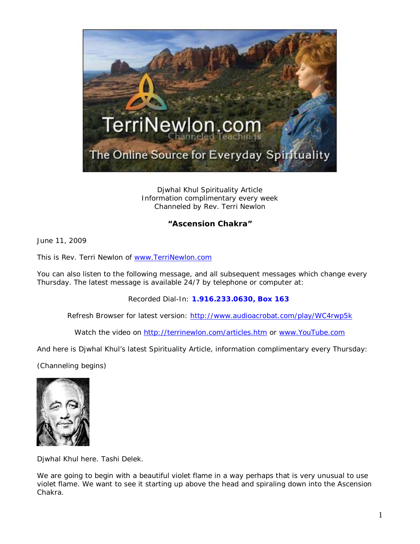

Djwhal Khul Spirituality Article Information complimentary every week Channeled by Rev. Terri Newlon

## **"Ascension Chakra"**

June 11, 2009

This is Rev. Terri Newlon of [www.TerriNewlon.com](http://www.terrinewlon.com/)

You can also listen to the following message, and all subsequent messages which change every Thursday. The latest message is available 24/7 by telephone or computer at:

Recorded Dial-In: **1.916.233.0630, Box 163**

Refresh Browser for latest version: <http://www.audioacrobat.com/play/WC4rwp5k>

Watch the video on<http://terrinewlon.com/articles.htm> or [www.YouTube.com](http://www.youtube.com/)

And here is Djwhal Khul's latest Spirituality Article, information complimentary every Thursday:

(Channeling begins)



Djwhal Khul here. Tashi Delek.

We are going to begin with a beautiful violet flame in a way perhaps that is very unusual to use violet flame. We want to see it starting up above the head and spiraling down into the Ascension Chakra.